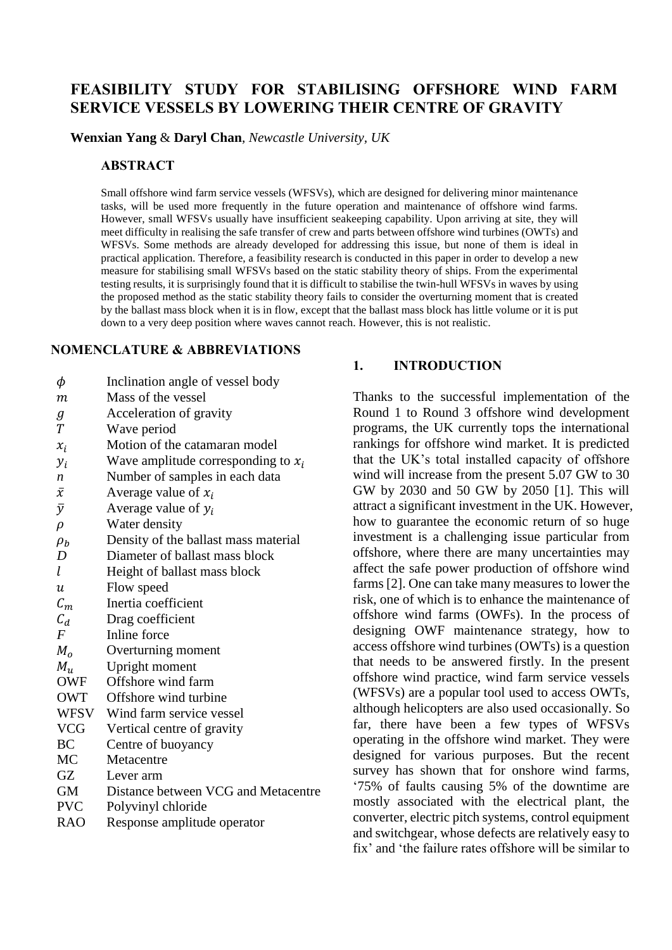# **FEASIBILITY STUDY FOR STABILISING OFFSHORE WIND FARM SERVICE VESSELS BY LOWERING THEIR CENTRE OF GRAVITY**

**Wenxian Yang** & **Daryl Chan**, *Newcastle University, UK*

#### **ABSTRACT**

Small offshore wind farm service vessels (WFSVs), which are designed for delivering minor maintenance tasks, will be used more frequently in the future operation and maintenance of offshore wind farms. However, small WFSVs usually have insufficient seakeeping capability. Upon arriving at site, they will meet difficulty in realising the safe transfer of crew and parts between offshore wind turbines (OWTs) and WFSVs. Some methods are already developed for addressing this issue, but none of them is ideal in practical application. Therefore, a feasibility research is conducted in this paper in order to develop a new measure for stabilising small WFSVs based on the static stability theory of ships. From the experimental testing results, it is surprisingly found that it is difficult to stabilise the twin-hull WFSVs in waves by using the proposed method as the static stability theory fails to consider the overturning moment that is created by the ballast mass block when it is in flow, except that the ballast mass block has little volume or it is put down to a very deep position where waves cannot reach. However, this is not realistic.

#### **NOMENCLATURE & ABBREVIATIONS**

- $\phi$  Inclination angle of vessel body
- m Mass of the vessel
- Acceleration of gravity
- Wave period
- $x_i$  Motion of the catamaran model
- $y_i$  Wave amplitude corresponding to  $x_i$
- *n* Number of samples in each data
- $\bar{x}$  Average value of  $x_i$
- $\bar{y}$  Average value of  $y_i$
- $\rho$  Water density
- $\rho_h$  Density of the ballast mass material
- *D* Diameter of ballast mass block
- $l$  Height of ballast mass block
- Flow speed
- $C_m$  Inertia coefficient
- $C_d$  Drag coefficient<br>F Inline force
- *F* Inline force
- $M<sub>o</sub>$  Overturning moment
- $M_u$  Upright moment<br>OWF Offshore wind fa
- Offshore wind farm
- OWT Offshore wind turbine
- WFSV Wind farm service vessel
- VCG Vertical centre of gravity
- BC Centre of buoyancy
- MC Metacentre
- GZ Lever arm
- GM Distance between VCG and Metacentre
- PVC Polyvinyl chloride
- RAO Response amplitude operator

#### **1. INTRODUCTION**

Thanks to the successful implementation of the Round 1 to Round 3 offshore wind development programs, the UK currently tops the international rankings for offshore wind market. It is predicted that the UK's total installed capacity of offshore wind will increase from the present 5.07 GW to 30 GW by 2030 and 50 GW by 2050 [1]. This will attract a significant investment in the UK. However, how to guarantee the economic return of so huge investment is a challenging issue particular from offshore, where there are many uncertainties may affect the safe power production of offshore wind farms [2]. One can take many measures to lower the risk, one of which is to enhance the maintenance of offshore wind farms (OWFs). In the process of designing OWF maintenance strategy, how to access offshore wind turbines (OWTs) is a question that needs to be answered firstly. In the present offshore wind practice, wind farm service vessels (WFSVs) are a popular tool used to access OWTs, although helicopters are also used occasionally. So far, there have been a few types of WFSVs operating in the offshore wind market. They were designed for various purposes. But the recent survey has shown that for onshore wind farms, '75% of faults causing 5% of the downtime are mostly associated with the electrical plant, the converter, electric pitch systems, control equipment and switchgear, whose defects are relatively easy to fix' and 'the failure rates offshore will be similar to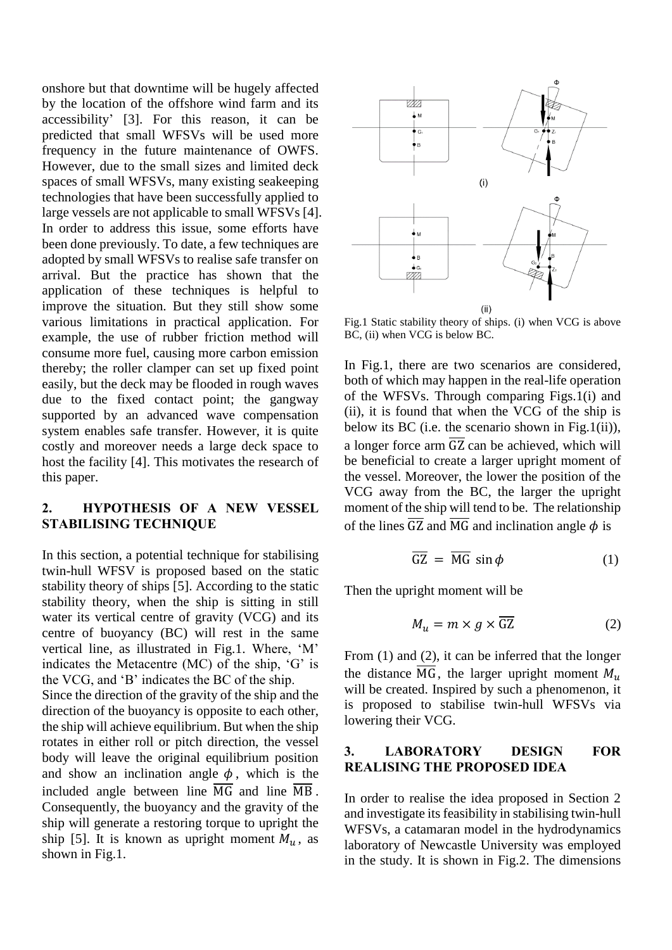onshore but that downtime will be hugely affected by the location of the offshore wind farm and its accessibility' [3]. For this reason, it can be predicted that small WFSVs will be used more frequency in the future maintenance of OWFS. However, due to the small sizes and limited deck spaces of small WFSVs, many existing seakeeping technologies that have been successfully applied to large vessels are not applicable to small WFSVs [4]. In order to address this issue, some efforts have been done previously. To date, a few techniques are adopted by small WFSVs to realise safe transfer on arrival. But the practice has shown that the application of these techniques is helpful to improve the situation. But they still show some various limitations in practical application. For example, the use of rubber friction method will consume more fuel, causing more carbon emission thereby; the roller clamper can set up fixed point easily, but the deck may be flooded in rough waves due to the fixed contact point; the gangway supported by an advanced wave compensation system enables safe transfer. However, it is quite costly and moreover needs a large deck space to host the facility [4]. This motivates the research of this paper.

#### **2. HYPOTHESIS OF A NEW VESSEL STABILISING TECHNIQUE**

In this section, a potential technique for stabilising twin-hull WFSV is proposed based on the static stability theory of ships [5]. According to the static stability theory, when the ship is sitting in still water its vertical centre of gravity (VCG) and its centre of buoyancy (BC) will rest in the same vertical line, as illustrated in Fig.1. Where, 'M' indicates the Metacentre (MC) of the ship, 'G' is the VCG, and 'B' indicates the BC of the ship. Since the direction of the gravity of the ship and the direction of the buoyancy is opposite to each other, the ship will achieve equilibrium. But when the ship rotates in either roll or pitch direction, the vessel body will leave the original equilibrium position and show an inclination angle  $\phi$ , which is the included angle between line  $\overline{MG}$  and line  $\overline{MB}$ . Consequently, the buoyancy and the gravity of the ship will generate a restoring torque to upright the ship [5]. It is known as upright moment  $M_u$ , as shown in Fig.1.



Fig.1 Static stability theory of ships. (i) when VCG is above BC, (ii) when VCG is below BC.

In Fig.1, there are two scenarios are considered, both of which may happen in the real-life operation of the WFSVs. Through comparing Figs.1(i) and (ii), it is found that when the VCG of the ship is below its BC (i.e. the scenario shown in Fig.1(ii)), a longer force arm  $\overline{GZ}$  can be achieved, which will be beneficial to create a larger upright moment of the vessel. Moreover, the lower the position of the VCG away from the BC, the larger the upright moment of the ship will tend to be. The relationship of the lines  $\overline{GZ}$  and  $\overline{MG}$  and inclination angle  $\phi$  is

$$
\overline{GZ} = \overline{MG} \sin \phi \tag{1}
$$

Then the upright moment will be

$$
M_u = m \times g \times \overline{GZ} \tag{2}
$$

From (1) and (2), it can be inferred that the longer the distance  $\overline{MG}$ , the larger upright moment  $M_{\nu}$ will be created. Inspired by such a phenomenon, it is proposed to stabilise twin-hull WFSVs via lowering their VCG.

#### **3. LABORATORY DESIGN FOR REALISING THE PROPOSED IDEA**

In order to realise the idea proposed in Section 2 and investigate its feasibility in stabilising twin-hull WFSVs, a catamaran model in the hydrodynamics laboratory of Newcastle University was employed in the study. It is shown in Fig.2. The dimensions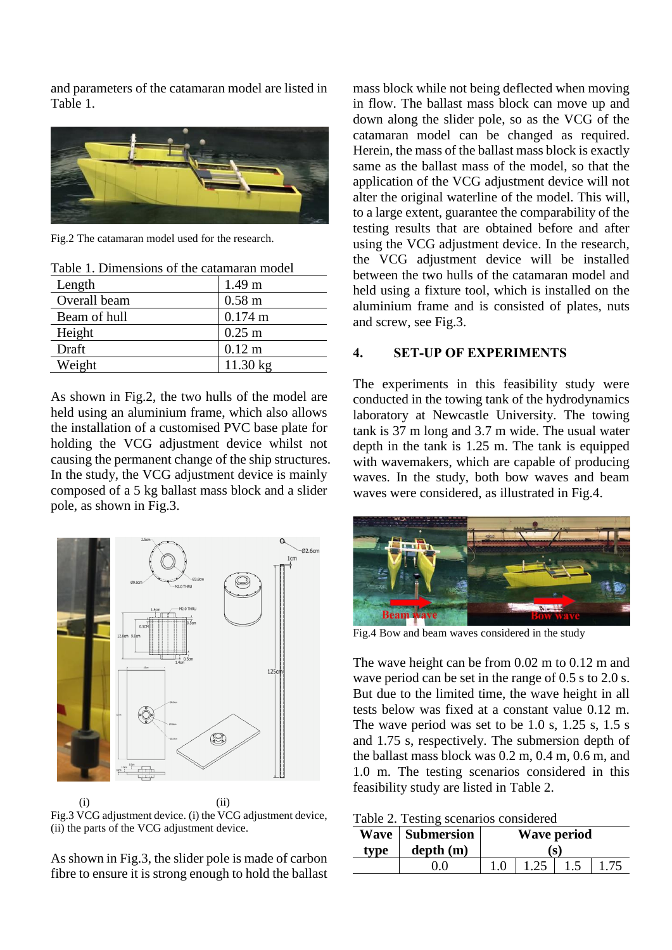and parameters of the catamaran model are listed in Table 1.



Fig.2 The catamaran model used for the research.

| Taoic 1. Dhiichsions of the catalitarall model |                   |  |  |  |
|------------------------------------------------|-------------------|--|--|--|
| Length                                         | 1.49 <sub>m</sub> |  |  |  |
| Overall beam                                   | $0.58 \text{ m}$  |  |  |  |
| Beam of hull                                   | $0.174 \text{ m}$ |  |  |  |
| Height                                         | $0.25$ m          |  |  |  |
| Draft                                          | $0.12 \text{ m}$  |  |  |  |
| Weight                                         | 11.30 kg          |  |  |  |

Table 1. Dimensions of the catamaran model

As shown in Fig.2, the two hulls of the model are held using an aluminium frame, which also allows the installation of a customised PVC base plate for holding the VCG adjustment device whilst not causing the permanent change of the ship structures. In the study, the VCG adjustment device is mainly composed of a 5 kg ballast mass block and a slider pole, as shown in Fig.3.



 $(i)$   $(ii)$ Fig.3 VCG adjustment device. (i) the VCG adjustment device, (ii) the parts of the VCG adjustment device.

As shown in Fig.3, the slider pole is made of carbon fibre to ensure it is strong enough to hold the ballast mass block while not being deflected when moving in flow. The ballast mass block can move up and down along the slider pole, so as the VCG of the catamaran model can be changed as required. Herein, the mass of the ballast mass block is exactly same as the ballast mass of the model, so that the application of the VCG adjustment device will not alter the original waterline of the model. This will, to a large extent, guarantee the comparability of the testing results that are obtained before and after using the VCG adjustment device. In the research, the VCG adjustment device will be installed between the two hulls of the catamaran model and held using a fixture tool, which is installed on the aluminium frame and is consisted of plates, nuts and screw, see Fig.3.

#### **4. SET-UP OF EXPERIMENTS**

The experiments in this feasibility study were conducted in the towing tank of the hydrodynamics laboratory at Newcastle University. The towing tank is 37 m long and 3.7 m wide. The usual water depth in the tank is 1.25 m. The tank is equipped with wavemakers, which are capable of producing waves. In the study, both bow waves and beam waves were considered, as illustrated in Fig.4.



Fig.4 Bow and beam waves considered in the study

The wave height can be from 0.02 m to 0.12 m and wave period can be set in the range of 0.5 s to 2.0 s. But due to the limited time, the wave height in all tests below was fixed at a constant value 0.12 m. The wave period was set to be 1.0 s, 1.25 s, 1.5 s and 1.75 s, respectively. The submersion depth of the ballast mass block was 0.2 m, 0.4 m, 0.6 m, and 1.0 m. The testing scenarios considered in this feasibility study are listed in Table 2.

Table 2. Testing scenarios considered

| type | <b>Wave</b>   Submersion<br>depth(m) | Wave period<br>(S) |      |  |  |
|------|--------------------------------------|--------------------|------|--|--|
|      |                                      |                    | 1.25 |  |  |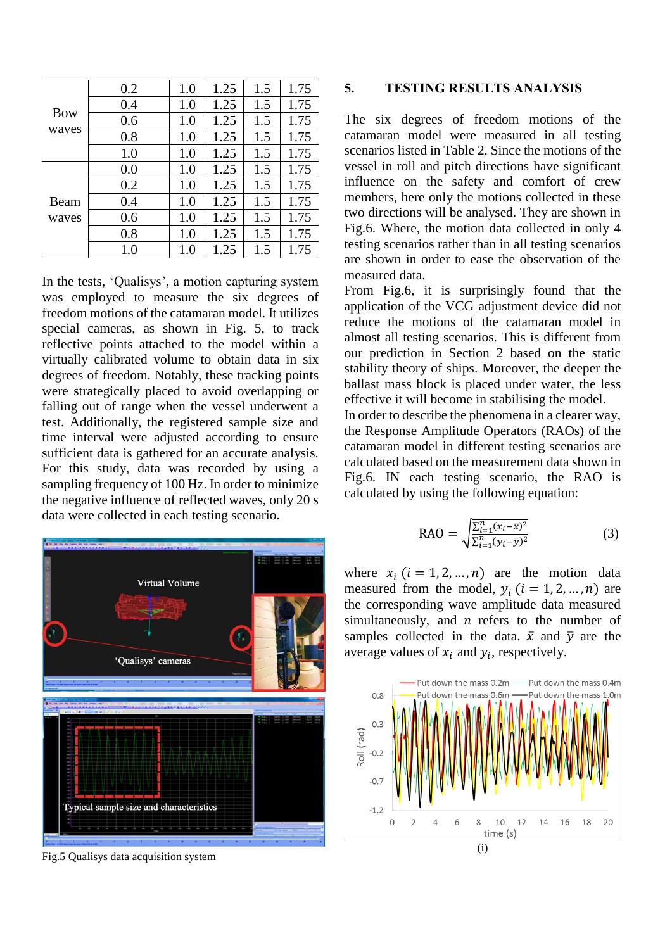| <b>Bow</b><br>waves | 0.2 | 1.0 | 1.25 | 1.5 | 1.75 |
|---------------------|-----|-----|------|-----|------|
|                     | 0.4 | 1.0 | 1.25 | 1.5 | 1.75 |
|                     | 0.6 | 1.0 | 1.25 | 1.5 | 1.75 |
|                     | 0.8 | 1.0 | 1.25 | 1.5 | 1.75 |
|                     | 1.0 | 1.0 | 1.25 | 1.5 | 1.75 |
| Beam<br>waves       | 0.0 | 1.0 | 1.25 | 1.5 | 1.75 |
|                     | 0.2 | 1.0 | 1.25 | 1.5 | 1.75 |
|                     | 0.4 | 1.0 | 1.25 | 1.5 | 1.75 |
|                     | 0.6 | 1.0 | 1.25 | 1.5 | 1.75 |
|                     | 0.8 | 1.0 | 1.25 | 1.5 | 1.75 |
|                     | 1.0 | 1.0 | 1.25 | 1.5 | 1.75 |

In the tests, 'Qualisys', a motion capturing system was employed to measure the six degrees of freedom motions of the catamaran model. It utilizes special cameras, as shown in Fig. 5, to track reflective points attached to the model within a virtually calibrated volume to obtain data in six degrees of freedom. Notably, these tracking points were strategically placed to avoid overlapping or falling out of range when the vessel underwent a test. Additionally, the registered sample size and time interval were adjusted according to ensure sufficient data is gathered for an accurate analysis. For this study, data was recorded by using a sampling frequency of 100 Hz. In order to minimize the negative influence of reflected waves, only 20 s data were collected in each testing scenario.



Fig.5 Qualisys data acquisition system

#### **5. TESTING RESULTS ANALYSIS**

The six degrees of freedom motions of the catamaran model were measured in all testing scenarios listed in Table 2. Since the motions of the vessel in roll and pitch directions have significant influence on the safety and comfort of crew members, here only the motions collected in these two directions will be analysed. They are shown in Fig.6. Where, the motion data collected in only 4 testing scenarios rather than in all testing scenarios are shown in order to ease the observation of the measured data.

From Fig.6, it is surprisingly found that the application of the VCG adjustment device did not reduce the motions of the catamaran model in almost all testing scenarios. This is different from our prediction in Section 2 based on the static stability theory of ships. Moreover, the deeper the ballast mass block is placed under water, the less effective it will become in stabilising the model.

In order to describe the phenomena in a clearer way, the Response Amplitude Operators (RAOs) of the catamaran model in different testing scenarios are calculated based on the measurement data shown in Fig.6. IN each testing scenario, the RAO is calculated by using the following equation:

$$
RAO = \sqrt{\frac{\sum_{i=1}^{n} (x_i - \bar{x})^2}{\sum_{i=1}^{n} (y_i - \bar{y})^2}}
$$
(3)

where  $x_i$   $(i = 1, 2, ..., n)$  are the motion data measured from the model,  $y_i$  ( $i = 1, 2, ..., n$ ) are the corresponding wave amplitude data measured simultaneously, and  $n$  refers to the number of samples collected in the data.  $\bar{x}$  and  $\bar{y}$  are the average values of  $x_i$  and  $y_i$ , respectively.

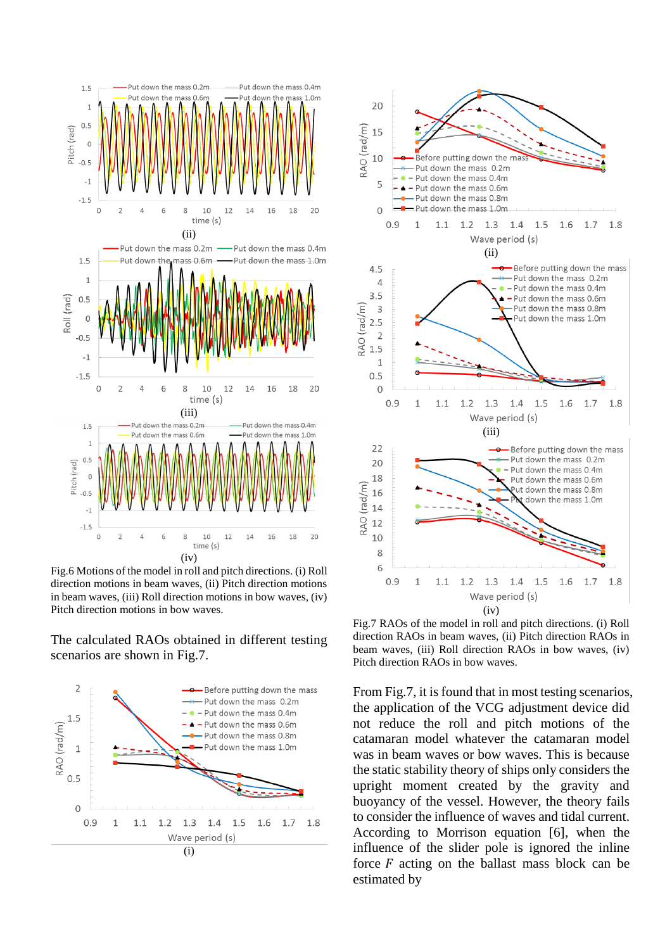

Fig.6 Motions of the model in roll and pitch directions. (i) Roll direction motions in beam waves, (ii) Pitch direction motions in beam waves, (iii) Roll direction motions in bow waves, (iv) Pitch direction motions in bow waves.

The calculated RAOs obtained in different testing scenarios are shown in Fig.7.





Fig.7 RAOs of the model in roll and pitch directions. (i) Roll direction RAOs in beam waves, (ii) Pitch direction RAOs in beam waves, (iii) Roll direction RAOs in bow waves, (iv) Pitch direction RAOs in bow waves.

From Fig.7, it is found that in most testing scenarios, the application of the VCG adjustment device did not reduce the roll and pitch motions of the catamaran model whatever the catamaran model was in beam waves or bow waves. This is because the static stability theory of ships only considers the upright moment created by the gravity and buoyancy of the vessel. However, the theory fails to consider the influence of waves and tidal current. According to Morrison equation [6], when the influence of the slider pole is ignored the inline force  $F$  acting on the ballast mass block can be estimated by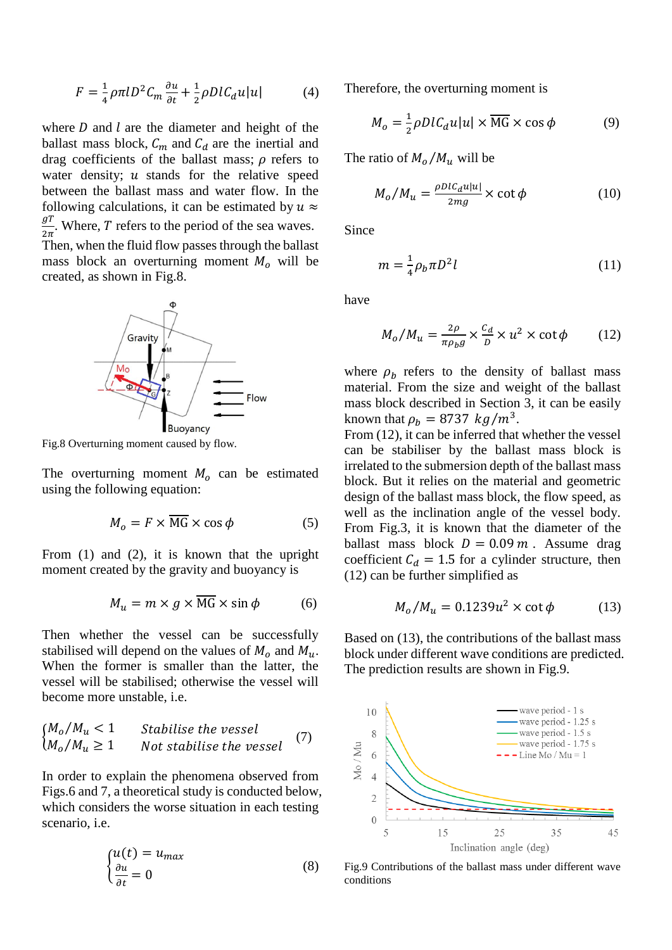$$
F = \frac{1}{4}\rho \pi l D^2 C_m \frac{\partial u}{\partial t} + \frac{1}{2}\rho D l C_d u |u| \tag{4}
$$

where  $D$  and  $l$  are the diameter and height of the ballast mass block,  $C_m$  and  $C_d$  are the inertial and drag coefficients of the ballast mass;  $\rho$  refers to water density;  $u$  stands for the relative speed between the ballast mass and water flow. In the following calculations, it can be estimated by  $u \approx$  $_{gT}$  $\frac{g}{2\pi}$ . Where, T refers to the period of the sea waves.

Then, when the fluid flow passes through the ballast mass block an overturning moment  $M_0$  will be created, as shown in Fig.8.



Fig.8 Overturning moment caused by flow.

The overturning moment  $M<sub>o</sub>$  can be estimated using the following equation:

$$
M_o = F \times MG \times \cos \phi \tag{5}
$$

From (1) and (2), it is known that the upright moment created by the gravity and buoyancy is

$$
M_u = m \times g \times \overline{MG} \times \sin \phi \tag{6}
$$

Then whether the vessel can be successfully stabilised will depend on the values of  $M_0$  and  $M_u$ . When the former is smaller than the latter, the vessel will be stabilised; otherwise the vessel will become more unstable, i.e.

$$
\begin{cases}\nM_o/M_u < 1 & \text{Stabilise the vessel} \\
M_o/M_u \ge 1 & \text{Not stabilize the vessel}\n\end{cases}\n\tag{7}
$$

In order to explain the phenomena observed from Figs.6 and 7, a theoretical study is conducted below, which considers the worse situation in each testing scenario, i.e.

$$
\begin{cases} u(t) = u_{max} \\ \frac{\partial u}{\partial t} = 0 \end{cases} \tag{8}
$$

Therefore, the overturning moment is

$$
M_o = \frac{1}{2} \rho D l C_d u |u| \times \overline{MG} \times \cos \phi
$$
 (9)

The ratio of  $M_o/M_u$  will be

$$
M_o/M_u = \frac{\rho D l c_d u |u|}{2mg} \times \cot \phi \tag{10}
$$

Since

$$
m = \frac{1}{4} \rho_b \pi D^2 l \tag{11}
$$

have

$$
M_o / M_u = \frac{2\rho}{\pi \rho_b g} \times \frac{c_d}{D} \times u^2 \times \cot \phi \tag{12}
$$

where  $\rho_b$  refers to the density of ballast mass material. From the size and weight of the ballast mass block described in Section 3, it can be easily known that  $\rho_b = 8737 \ kg/m^3$ .

From (12), it can be inferred that whether the vessel can be stabiliser by the ballast mass block is irrelated to the submersion depth of the ballast mass block. But it relies on the material and geometric design of the ballast mass block, the flow speed, as well as the inclination angle of the vessel body. From Fig.3, it is known that the diameter of the ballast mass block  $D = 0.09$  *m*. Assume drag coefficient  $C_d = 1.5$  for a cylinder structure, then (12) can be further simplified as

$$
M_o/M_u = 0.1239u^2 \times \cot \phi \tag{13}
$$

Based on (13), the contributions of the ballast mass block under different wave conditions are predicted. The prediction results are shown in Fig.9.



Fig.9 Contributions of the ballast mass under different wave conditions